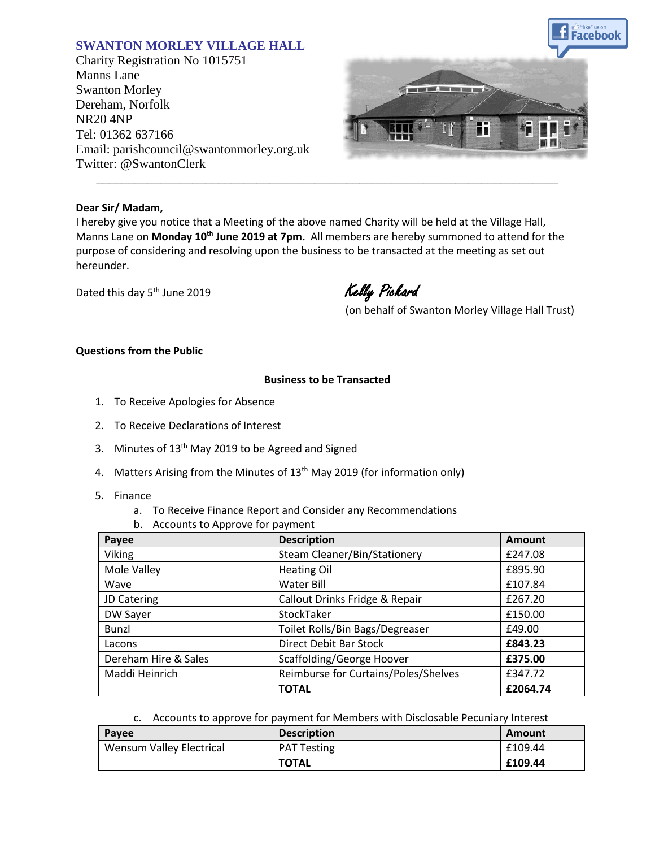# **SWANTON MORLEY VILLAGE HALL**

Charity Registration No 1015751 Manns Lane Swanton Morley Dereham, Norfolk NR20 4NP Tel: 01362 637166 Email: parishcouncil@swantonmorley.org.uk Twitter: @SwantonClerk



### **Dear Sir/ Madam,**

I hereby give you notice that a Meeting of the above named Charity will be held at the Village Hall, Manns Lane on Monday 10<sup>th</sup> June 2019 at 7pm. All members are hereby summoned to attend for the purpose of considering and resolving upon the business to be transacted at the meeting as set out hereunder.

\_\_\_\_\_\_\_\_\_\_\_\_\_\_\_\_\_\_\_\_\_\_\_\_\_\_\_\_\_\_\_\_\_\_\_\_\_\_\_\_\_\_\_\_\_\_\_\_\_\_\_\_\_\_\_\_\_\_\_\_\_\_\_\_\_\_\_\_\_\_\_\_

Dated this day 5<sup>th</sup> June 2019

Kelly Pickard

(on behalf of Swanton Morley Village Hall Trust)

### **Questions from the Public**

### **Business to be Transacted**

- 1. To Receive Apologies for Absence
- 2. To Receive Declarations of Interest
- 3. Minutes of  $13<sup>th</sup>$  May 2019 to be Agreed and Signed
- 4. Matters Arising from the Minutes of 13<sup>th</sup> May 2019 (for information only)
- 5. Finance
	- a. To Receive Finance Report and Consider any Recommendations
	- b. Accounts to Approve for payment

| Payee                | <b>Description</b>                       | <b>Amount</b> |
|----------------------|------------------------------------------|---------------|
| <b>Viking</b>        | Steam Cleaner/Bin/Stationery             | £247.08       |
| Mole Valley          | <b>Heating Oil</b>                       | £895.90       |
| Wave                 | Water Bill<br>£107.84                    |               |
| JD Catering          | Callout Drinks Fridge & Repair           | £267.20       |
| DW Sayer             | StockTaker                               | £150.00       |
| <b>Bunzl</b>         | Toilet Rolls/Bin Bags/Degreaser          | £49.00        |
| Lacons               | <b>Direct Debit Bar Stock</b><br>£843.23 |               |
| Dereham Hire & Sales | Scaffolding/George Hoover<br>£375.00     |               |
| Maddi Heinrich       | Reimburse for Curtains/Poles/Shelves     | £347.72       |
|                      | <b>TOTAL</b>                             | £2064.74      |

### c. Accounts to approve for payment for Members with Disclosable Pecuniary Interest

| Payee                           | <b>Description</b> | Amount  |
|---------------------------------|--------------------|---------|
| <b>Wensum Valley Electrical</b> | <b>PAT Testing</b> | £109.44 |
|                                 | <b>TOTAL</b>       | £109.44 |